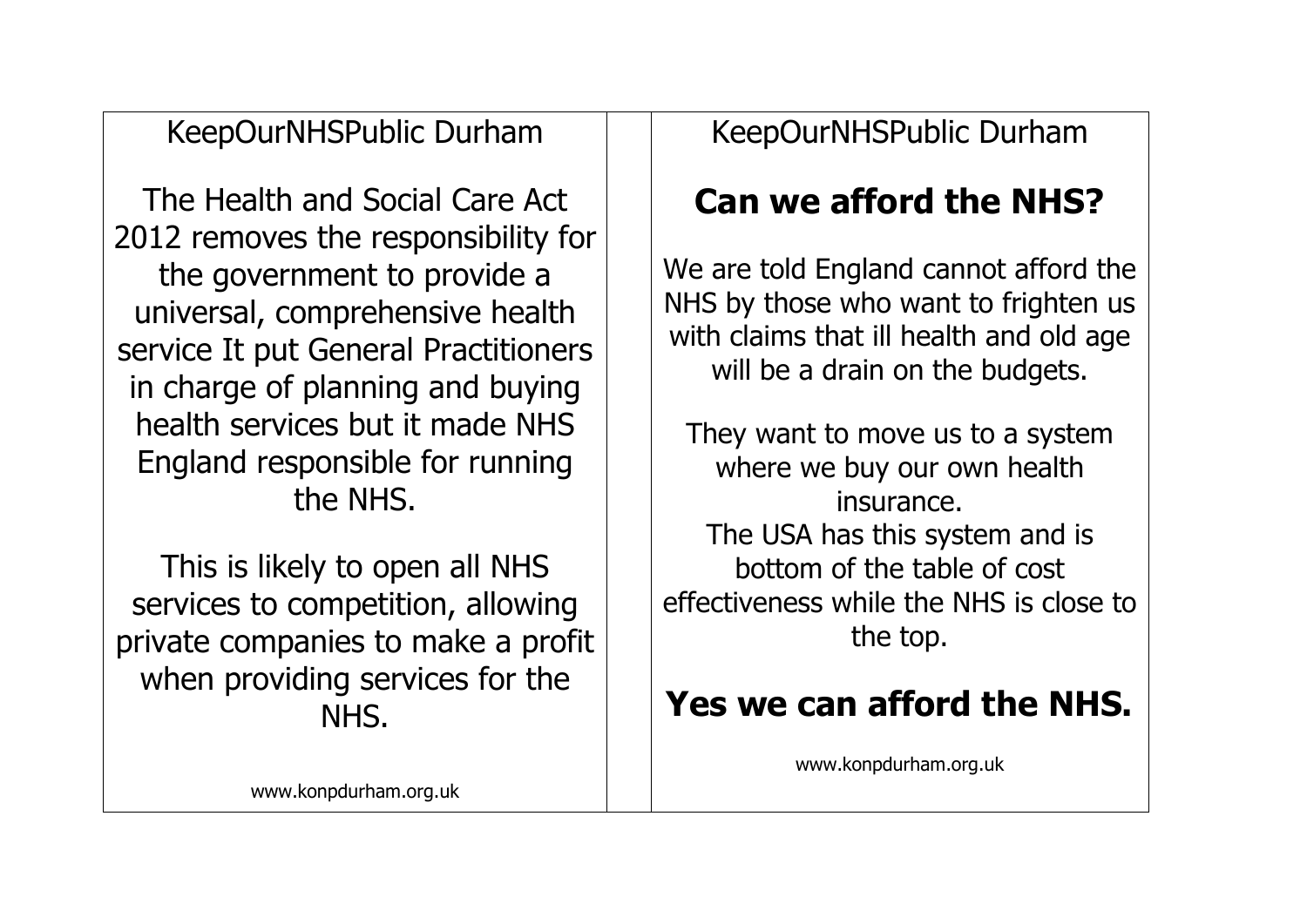KeepOurNHSPublic Durham

The Health and Social Care Act 2012 removes the responsibility for the government to provide a universal, comprehensive health service It put General Practitioners in charge of planning and buying health services but it made NHS England responsible for running the NHS.

This is likely to open all NHS services to competition, allowing private companies to make a profit when providing services for the NHS.

KeepOurNHSPublic Durham

## **Can we afford the NHS?**

We are told England cannot afford the NHS by those who want to frighten us with claims that ill health and old age will be a drain on the budgets.

They want to move us to a system where we buy our own health insurance. The USA has this system and is bottom of the table of cost effectiveness while the NHS is close to the top.

# **Yes we can afford the NHS.**

www.konpdurham.org.uk

[www.konpdurham.org.uk](http://www.konpdurham.org.uk/)